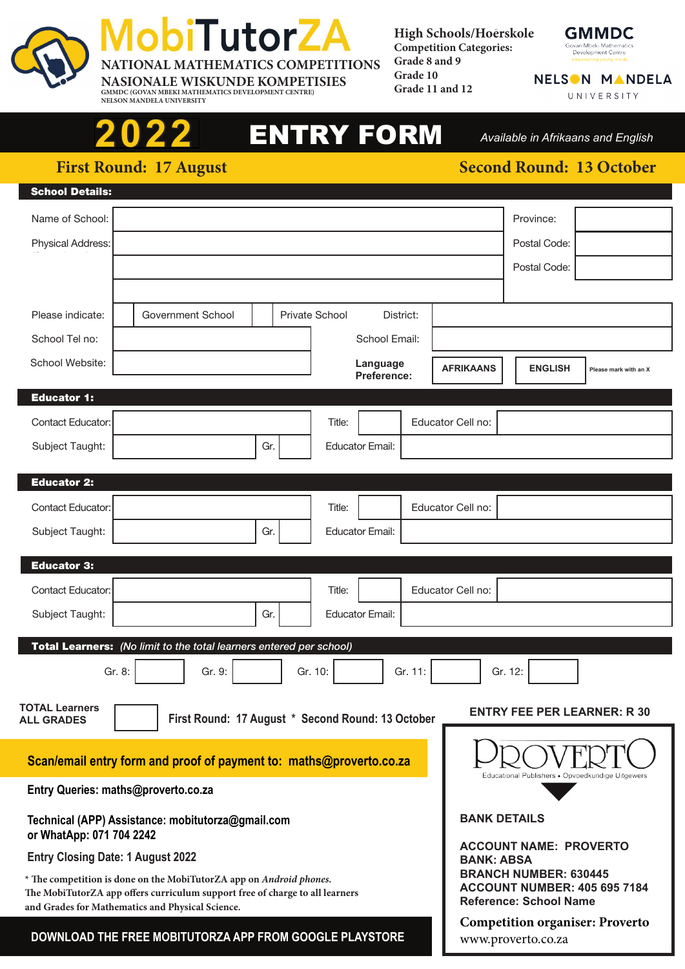

**GMMDC (GOVAN MBEKI MATHEMATICS DEVELOPMENT CENTRE) NELSON MANDELA UNIVERSITY**

# 2022 ENTRY FORM Available in Afrikaans and En

*Available in Afrikaans and English*

**2022**

## **First Round: 17 August Date:** *Second Round: 13 October* **20 August 20 August 20 August 20 August 20 August 20 August 20 August 20 August 20 August 20 August 20 August 20 August 20 August 20 August 20 August 20 August 20 Au**

| <b>School Details:</b>                                                                                                                              |                                                                     |                    |                |                         |           |                                                                                                                                                            |                                                  |                       |  |
|-----------------------------------------------------------------------------------------------------------------------------------------------------|---------------------------------------------------------------------|--------------------|----------------|-------------------------|-----------|------------------------------------------------------------------------------------------------------------------------------------------------------------|--------------------------------------------------|-----------------------|--|
| Name of School:                                                                                                                                     |                                                                     |                    |                |                         |           |                                                                                                                                                            | Province:                                        |                       |  |
| Physical Address:                                                                                                                                   |                                                                     |                    |                |                         |           |                                                                                                                                                            | Postal Code:                                     |                       |  |
|                                                                                                                                                     |                                                                     |                    |                |                         |           |                                                                                                                                                            | Postal Code:                                     |                       |  |
|                                                                                                                                                     |                                                                     |                    |                |                         |           |                                                                                                                                                            |                                                  |                       |  |
| Please indicate:                                                                                                                                    | Government School                                                   |                    | Private School |                         | District: |                                                                                                                                                            |                                                  |                       |  |
| School Tel no:                                                                                                                                      |                                                                     |                    |                | School Email:           |           |                                                                                                                                                            |                                                  |                       |  |
| School Website:                                                                                                                                     |                                                                     |                    |                | Language<br>Preference: |           | <b>AFRIKAANS</b>                                                                                                                                           | <b>ENGLISH</b>                                   | Please mark with an X |  |
| <b>Educator 1:</b>                                                                                                                                  |                                                                     |                    |                |                         |           |                                                                                                                                                            |                                                  |                       |  |
| <b>Contact Educator:</b>                                                                                                                            |                                                                     |                    | Title:         |                         |           | Educator Cell no:                                                                                                                                          |                                                  |                       |  |
| Subject Taught:                                                                                                                                     |                                                                     | Gr.                |                | <b>Educator Email:</b>  |           |                                                                                                                                                            |                                                  |                       |  |
| <b>Educator 2:</b>                                                                                                                                  |                                                                     |                    |                |                         |           |                                                                                                                                                            |                                                  |                       |  |
| <b>Contact Educator:</b>                                                                                                                            |                                                                     |                    | Title:         |                         |           | Educator Cell no:                                                                                                                                          |                                                  |                       |  |
| Subject Taught:                                                                                                                                     |                                                                     | Gr.                |                | <b>Educator Email:</b>  |           |                                                                                                                                                            |                                                  |                       |  |
|                                                                                                                                                     |                                                                     |                    |                |                         |           |                                                                                                                                                            |                                                  |                       |  |
| <b>Educator 3:</b>                                                                                                                                  |                                                                     |                    |                |                         |           |                                                                                                                                                            |                                                  |                       |  |
| <b>Contact Educator:</b>                                                                                                                            |                                                                     |                    | Title:         |                         |           | Educator Cell no:                                                                                                                                          |                                                  |                       |  |
| Subject Taught:                                                                                                                                     |                                                                     | Gr.                |                | <b>Educator Email:</b>  |           |                                                                                                                                                            |                                                  |                       |  |
|                                                                                                                                                     | Total Learners: (No limit to the total learners entered per school) |                    |                |                         |           |                                                                                                                                                            |                                                  |                       |  |
| Gr. 8:                                                                                                                                              | Gr. 9:                                                              |                    | Gr. 10:        |                         | Gr. 11:   |                                                                                                                                                            | Gr. 12:                                          |                       |  |
| <b>TOTAL Learners</b><br><b>ALL GRADES</b>                                                                                                          | First Round: 17 August * Second Round: 13 October                   |                    |                |                         |           |                                                                                                                                                            | <b>ENTRY FEE PER LEARNER: R 30</b>               |                       |  |
|                                                                                                                                                     |                                                                     |                    |                |                         |           |                                                                                                                                                            |                                                  |                       |  |
| Scan/email entry form and proof of payment to: maths@proverto.co.za                                                                                 |                                                                     |                    |                |                         |           |                                                                                                                                                            | Educational Publishers . Opvoedkundige Uitgewers |                       |  |
| Entry Queries: maths@proverto.co.za                                                                                                                 |                                                                     |                    |                |                         |           |                                                                                                                                                            |                                                  |                       |  |
| Technical (APP) Assistance: mobitutorza@gmail.com<br>or WhatApp: 071 704 2242                                                                       |                                                                     |                    |                |                         |           |                                                                                                                                                            | <b>BANK DETAILS</b>                              |                       |  |
| <b>Entry Closing Date: 1 August 2022</b>                                                                                                            |                                                                     |                    |                |                         |           | <b>ACCOUNT NAME: PROVERTO</b><br><b>BANK: ABSA</b><br><b>BRANCH NUMBER: 630445</b><br><b>ACCOUNT NUMBER: 405 695 7184</b><br><b>Reference: School Name</b> |                                                  |                       |  |
| * The competition is done on the MobiTutorZA app on Android phones.<br>The MobiTutorZA app offers curriculum support free of charge to all learners |                                                                     |                    |                |                         |           |                                                                                                                                                            |                                                  |                       |  |
| and Grades for Mathematics and Physical Science.<br>DOWNLOAD THE FREE MOBITUTORZA APP FROM GOOGLE PLAYSTORE                                         |                                                                     |                    |                |                         |           |                                                                                                                                                            | <b>Competition organiser: Proverto</b>           |                       |  |
|                                                                                                                                                     |                                                                     | www.proverto.co.za |                |                         |           |                                                                                                                                                            |                                                  |                       |  |



NELSON MANDELA UNIVERSITY

**High Schools/Hoerskole** .. **Competition Categories:**

**Grade 8 and 9 Grade 10 Grade 11 and 12**